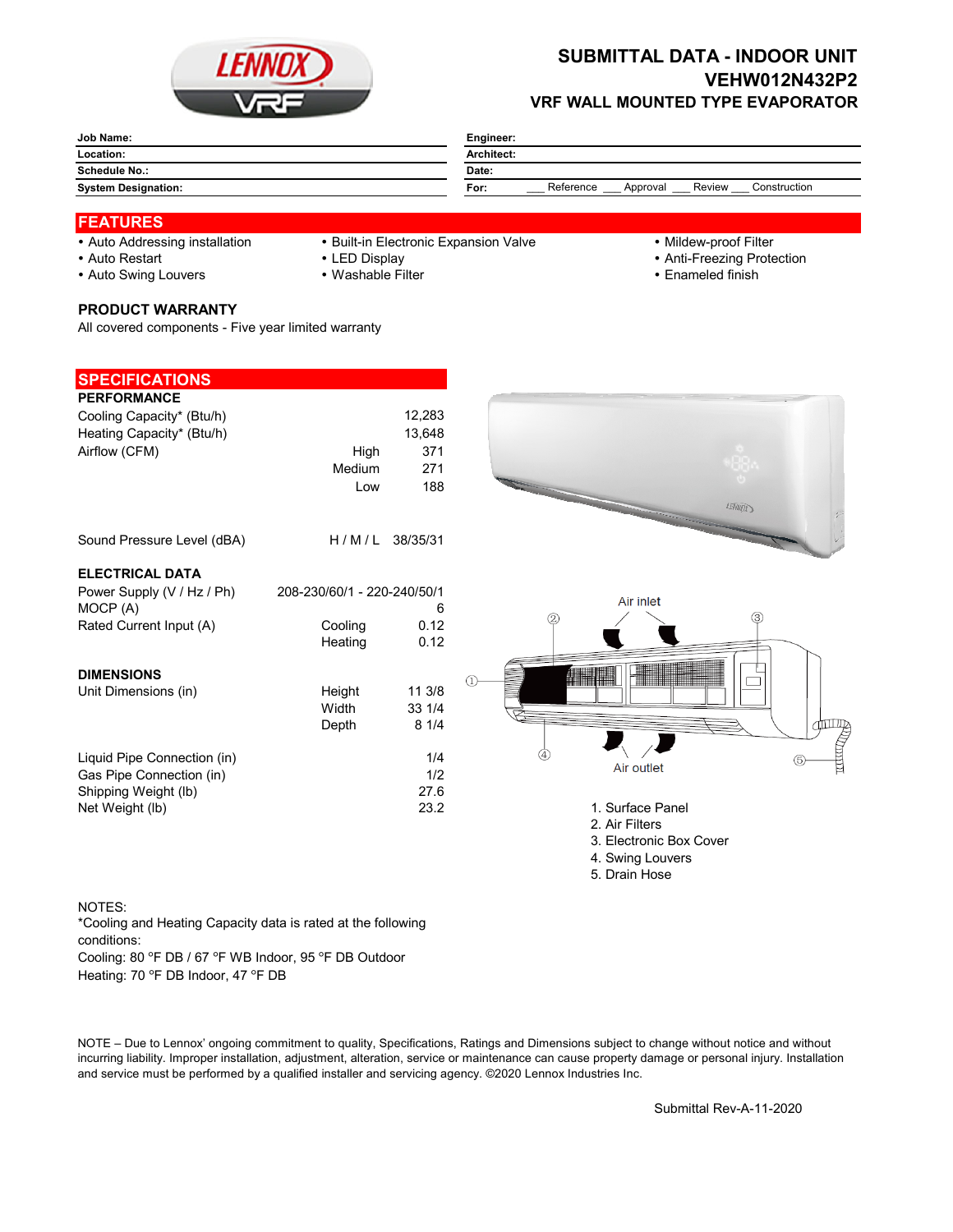

## **SUBMITTAL DATA - INDOOR UNIT VEHW012N432P2 VRF WALL MOUNTED TYPE EVAPORATOR**

| Job Name:                  | Engineer:                                               |  |  |  |  |  |
|----------------------------|---------------------------------------------------------|--|--|--|--|--|
| Location:                  | <b>Architect:</b>                                       |  |  |  |  |  |
| <b>Schedule No.:</b>       | Date:                                                   |  |  |  |  |  |
| <b>System Designation:</b> | Reference<br>Review<br>Construction<br>For:<br>Approval |  |  |  |  |  |

## **FEATURES**

- 
- Auto Addressing installation Built-in Electronic Expansion Valve Mildew-proof Filter
- 

- 
- Auto Restart **LED Display Community Community Community Community Community Community Community Community Community Community Community Community Community Community Community Community Community Community Community Comm**
- Auto Swing Louvers Washable Filter **Enameled finish** Enameled finish
- **PRODUCT WARRANTY**

All covered components - Five year limited warranty

| <b>SPECIFICATIONS</b>       |                             |                |   |                         |             |
|-----------------------------|-----------------------------|----------------|---|-------------------------|-------------|
| <b>PERFORMANCE</b>          |                             |                |   |                         |             |
| Cooling Capacity* (Btu/h)   |                             | 12,283         |   |                         |             |
| Heating Capacity* (Btu/h)   |                             | 13,648         |   |                         |             |
| Airflow (CFM)               | High                        | 371            |   |                         |             |
|                             | Medium                      | 271            |   |                         |             |
|                             | Low                         | 188            |   |                         |             |
|                             |                             |                |   |                         | 压应应         |
|                             |                             |                |   |                         |             |
| Sound Pressure Level (dBA)  |                             | H/M/L 38/35/31 |   |                         |             |
|                             |                             |                |   |                         |             |
| <b>ELECTRICAL DATA</b>      |                             |                |   |                         |             |
| Power Supply (V / Hz / Ph)  | 208-230/60/1 - 220-240/50/1 |                |   |                         |             |
| MOCP (A)                    |                             | 6              |   | Air inlet               |             |
| Rated Current Input (A)     | Cooling                     | 0.12           | 2 |                         | $\circledS$ |
|                             | Heating                     | 0.12           |   |                         |             |
|                             |                             |                |   |                         |             |
| <b>DIMENSIONS</b>           |                             |                |   |                         |             |
| Unit Dimensions (in)        | Height                      | 11 3/8         |   |                         |             |
|                             | Width                       | 33 1/4         |   |                         |             |
|                             | Depth                       | 81/4           |   |                         |             |
|                             |                             |                |   |                         |             |
| Liquid Pipe Connection (in) |                             | 1/4            |   | Air outlet              |             |
| Gas Pipe Connection (in)    |                             | 1/2            |   |                         |             |
| Shipping Weight (lb)        |                             | 27.6           |   |                         |             |
| Net Weight (lb)             |                             | 23.2           |   | 1. Surface Panel        |             |
|                             |                             |                |   | 2. Air Filters          |             |
|                             |                             |                |   | 3. Electronic Box Cover |             |
|                             |                             |                |   | 4. Swing Louvers        |             |
|                             |                             |                |   | 5. Drain Hose           |             |

- NOTES:
- \*Cooling and Heating Capacity data is rated at the following conditions:

Cooling: 80 °F DB / 67 °F WB Indoor, 95 °F DB Outdoor

Heating: 70 °F DB Indoor, 47 °F DB

NOTE – Due to Lennox' ongoing commitment to quality, Specifications, Ratings and Dimensions subject to change without notice and without incurring liability. Improper installation, adjustment, alteration, service or maintenance can cause property damage or personal injury. Installation and service must be performed by a qualified installer and servicing agency. ©2020 Lennox Industries Inc.

Submittal Rev-A-11-2020